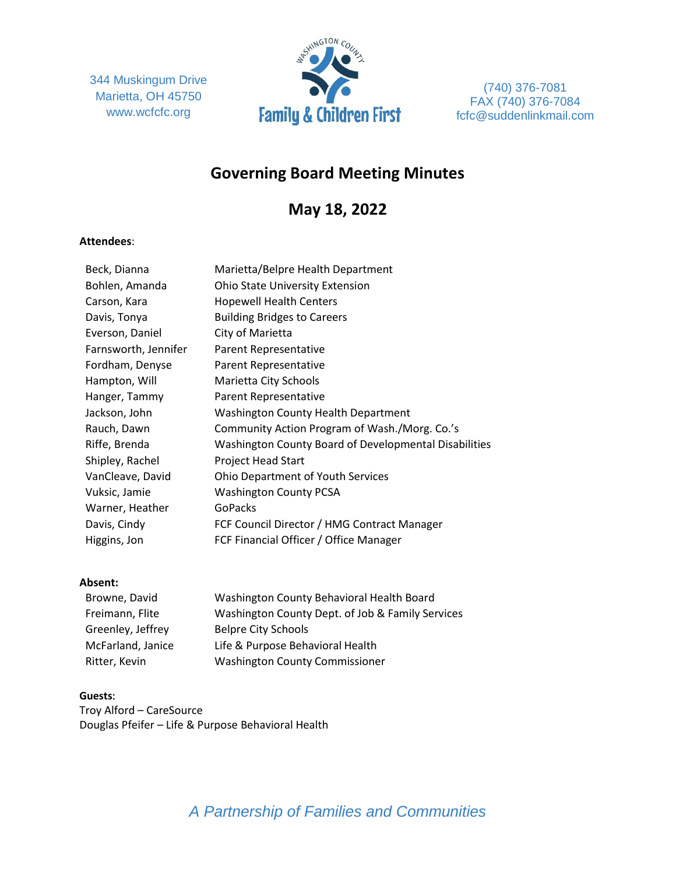344 Muskingum Drive Marietta, OH 45750 www.wcfcfc.org



(740) 376-7081 FAX (740) 376-7084 fcfc@suddenlinkmail.com

# **Governing Board Meeting Minutes**

# **May 18, 2022**

## **Attendees**:

| Beck, Dianna         | Marietta/Belpre Health Department                     |
|----------------------|-------------------------------------------------------|
| Bohlen, Amanda       | Ohio State University Extension                       |
| Carson, Kara         | <b>Hopewell Health Centers</b>                        |
| Davis, Tonya         | <b>Building Bridges to Careers</b>                    |
| Everson, Daniel      | City of Marietta                                      |
| Farnsworth, Jennifer | Parent Representative                                 |
| Fordham, Denyse      | Parent Representative                                 |
| Hampton, Will        | Marietta City Schools                                 |
| Hanger, Tammy        | <b>Parent Representative</b>                          |
| Jackson, John        | <b>Washington County Health Department</b>            |
| Rauch, Dawn          | Community Action Program of Wash./Morg. Co.'s         |
| Riffe, Brenda        | Washington County Board of Developmental Disabilities |
| Shipley, Rachel      | <b>Project Head Start</b>                             |
| VanCleave, David     | <b>Ohio Department of Youth Services</b>              |
| Vuksic, Jamie        | <b>Washington County PCSA</b>                         |
| Warner, Heather      | <b>GoPacks</b>                                        |
| Davis, Cindy         | FCF Council Director / HMG Contract Manager           |
| Higgins, Jon         | FCF Financial Officer / Office Manager                |
|                      |                                                       |

## **Absent:**

| Browne, David     | Washington County Behavioral Health Board        |
|-------------------|--------------------------------------------------|
| Freimann, Flite   | Washington County Dept. of Job & Family Services |
| Greenley, Jeffrey | <b>Belpre City Schools</b>                       |
| McFarland, Janice | Life & Purpose Behavioral Health                 |
| Ritter, Kevin     | <b>Washington County Commissioner</b>            |

## **Guests**:

Troy Alford – CareSource Douglas Pfeifer – Life & Purpose Behavioral Health

*A Partnership of Families and Communities*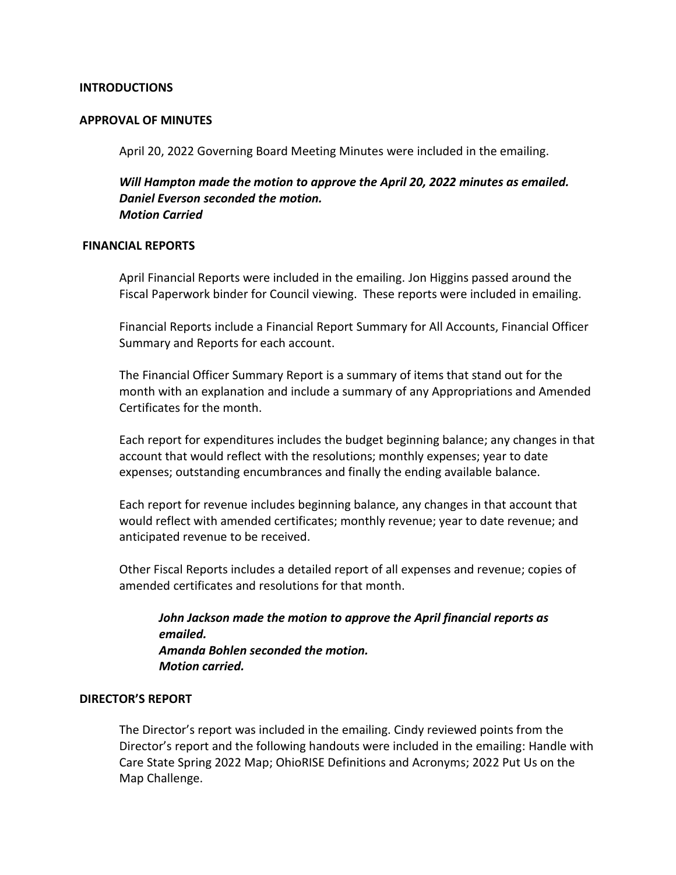## **INTRODUCTIONS**

#### **APPROVAL OF MINUTES**

April 20, 2022 Governing Board Meeting Minutes were included in the emailing.

*Will Hampton made the motion to approve the April 20, 2022 minutes as emailed. Daniel Everson seconded the motion. Motion Carried*

#### **FINANCIAL REPORTS**

April Financial Reports were included in the emailing. Jon Higgins passed around the Fiscal Paperwork binder for Council viewing. These reports were included in emailing.

Financial Reports include a Financial Report Summary for All Accounts, Financial Officer Summary and Reports for each account.

The Financial Officer Summary Report is a summary of items that stand out for the month with an explanation and include a summary of any Appropriations and Amended Certificates for the month.

Each report for expenditures includes the budget beginning balance; any changes in that account that would reflect with the resolutions; monthly expenses; year to date expenses; outstanding encumbrances and finally the ending available balance.

Each report for revenue includes beginning balance, any changes in that account that would reflect with amended certificates; monthly revenue; year to date revenue; and anticipated revenue to be received.

Other Fiscal Reports includes a detailed report of all expenses and revenue; copies of amended certificates and resolutions for that month.

*John Jackson made the motion to approve the April financial reports as emailed. Amanda Bohlen seconded the motion. Motion carried.*

## **DIRECTOR'S REPORT**

The Director's report was included in the emailing. Cindy reviewed points from the Director's report and the following handouts were included in the emailing: Handle with Care State Spring 2022 Map; OhioRISE Definitions and Acronyms; 2022 Put Us on the Map Challenge.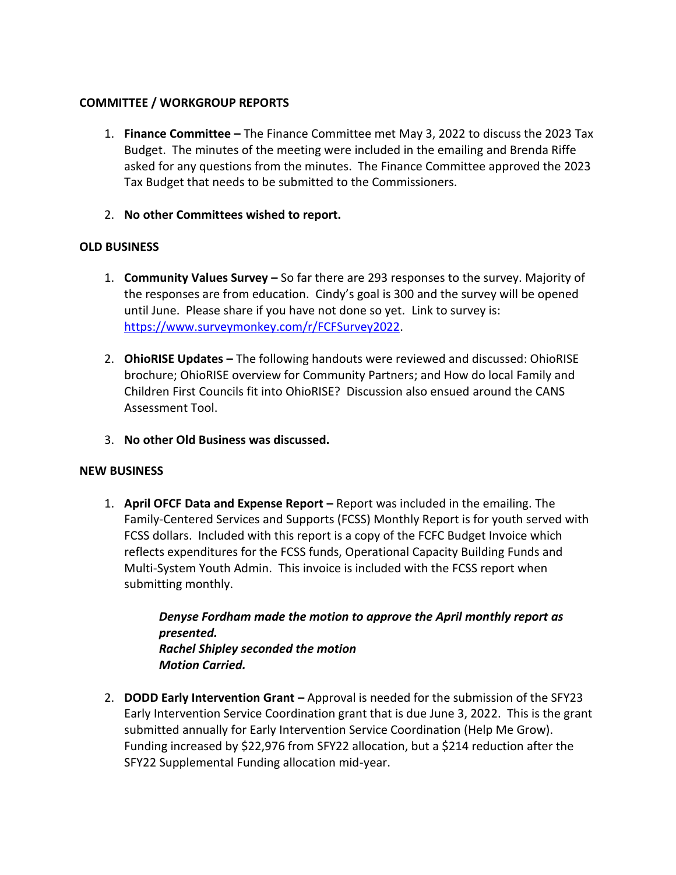# **COMMITTEE / WORKGROUP REPORTS**

- 1. **Finance Committee –** The Finance Committee met May 3, 2022 to discuss the 2023 Tax Budget. The minutes of the meeting were included in the emailing and Brenda Riffe asked for any questions from the minutes. The Finance Committee approved the 2023 Tax Budget that needs to be submitted to the Commissioners.
- 2. **No other Committees wished to report.**

# **OLD BUSINESS**

- 1. **Community Values Survey –** So far there are 293 responses to the survey. Majority of the responses are from education. Cindy's goal is 300 and the survey will be opened until June. Please share if you have not done so yet. Link to survey is: [https://www.surveymonkey.com/r/FCFSurvey2022.](https://www.surveymonkey.com/r/FCFSurvey2022)
- 2. **OhioRISE Updates –** The following handouts were reviewed and discussed: OhioRISE brochure; OhioRISE overview for Community Partners; and How do local Family and Children First Councils fit into OhioRISE? Discussion also ensued around the CANS Assessment Tool.
- 3. **No other Old Business was discussed.**

## **NEW BUSINESS**

1. **April OFCF Data and Expense Report –** Report was included in the emailing. The Family-Centered Services and Supports (FCSS) Monthly Report is for youth served with FCSS dollars. Included with this report is a copy of the FCFC Budget Invoice which reflects expenditures for the FCSS funds, Operational Capacity Building Funds and Multi-System Youth Admin. This invoice is included with the FCSS report when submitting monthly.

> *Denyse Fordham made the motion to approve the April monthly report as presented. Rachel Shipley seconded the motion Motion Carried.*

2. **DODD Early Intervention Grant –** Approval is needed for the submission of the SFY23 Early Intervention Service Coordination grant that is due June 3, 2022. This is the grant submitted annually for Early Intervention Service Coordination (Help Me Grow). Funding increased by \$22,976 from SFY22 allocation, but a \$214 reduction after the SFY22 Supplemental Funding allocation mid-year.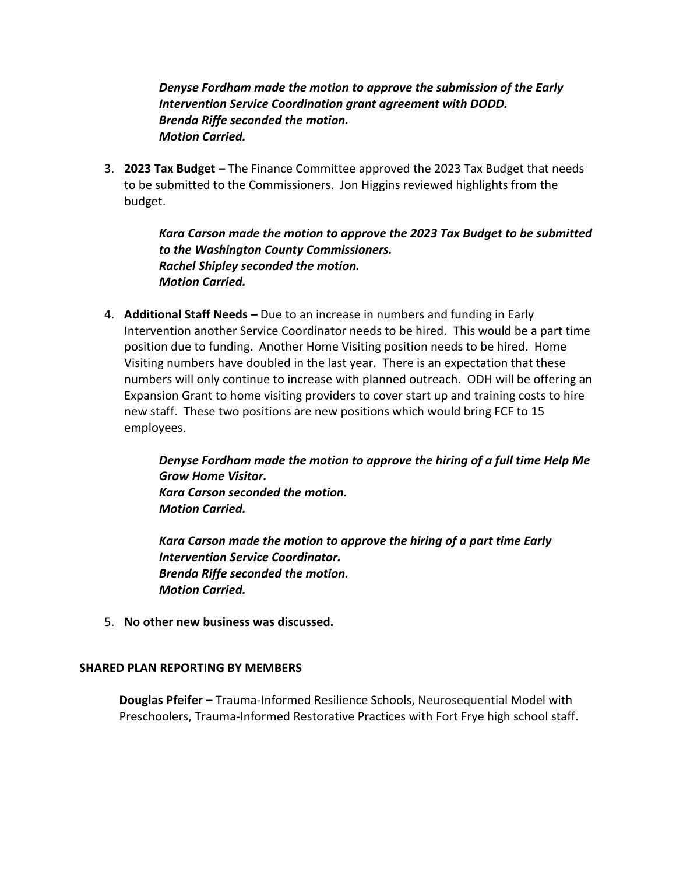*Denyse Fordham made the motion to approve the submission of the Early Intervention Service Coordination grant agreement with DODD. Brenda Riffe seconded the motion. Motion Carried.* 

3. **2023 Tax Budget –** The Finance Committee approved the 2023 Tax Budget that needs to be submitted to the Commissioners. Jon Higgins reviewed highlights from the budget.

> *Kara Carson made the motion to approve the 2023 Tax Budget to be submitted to the Washington County Commissioners. Rachel Shipley seconded the motion. Motion Carried.*

4. **Additional Staff Needs –** Due to an increase in numbers and funding in Early Intervention another Service Coordinator needs to be hired. This would be a part time position due to funding. Another Home Visiting position needs to be hired. Home Visiting numbers have doubled in the last year. There is an expectation that these numbers will only continue to increase with planned outreach. ODH will be offering an Expansion Grant to home visiting providers to cover start up and training costs to hire new staff. These two positions are new positions which would bring FCF to 15 employees.

> *Denyse Fordham made the motion to approve the hiring of a full time Help Me Grow Home Visitor. Kara Carson seconded the motion. Motion Carried.*

*Kara Carson made the motion to approve the hiring of a part time Early Intervention Service Coordinator. Brenda Riffe seconded the motion. Motion Carried.* 

5. **No other new business was discussed.** 

## **SHARED PLAN REPORTING BY MEMBERS**

**Douglas Pfeifer –** Trauma-Informed Resilience Schools, Neurosequential Model with Preschoolers, Trauma-Informed Restorative Practices with Fort Frye high school staff.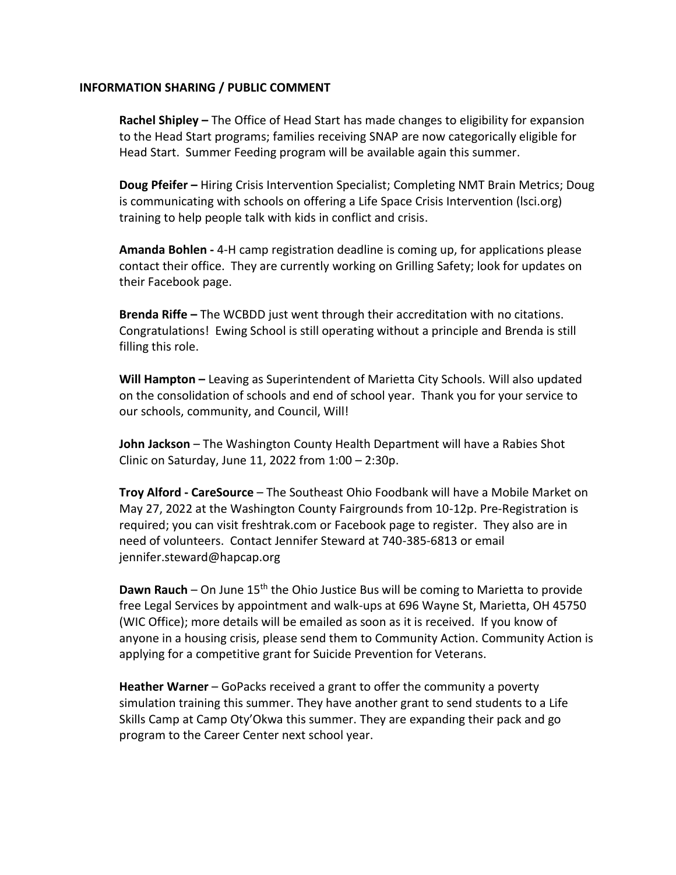## **INFORMATION SHARING / PUBLIC COMMENT**

**Rachel Shipley –** The Office of Head Start has made changes to eligibility for expansion to the Head Start programs; families receiving SNAP are now categorically eligible for Head Start. Summer Feeding program will be available again this summer.

**Doug Pfeifer –** Hiring Crisis Intervention Specialist; Completing NMT Brain Metrics; Doug is communicating with schools on offering a Life Space Crisis Intervention (lsci.org) training to help people talk with kids in conflict and crisis.

**Amanda Bohlen -** 4-H camp registration deadline is coming up, for applications please contact their office. They are currently working on Grilling Safety; look for updates on their Facebook page.

**Brenda Riffe –** The WCBDD just went through their accreditation with no citations. Congratulations! Ewing School is still operating without a principle and Brenda is still filling this role.

**Will Hampton –** Leaving as Superintendent of Marietta City Schools. Will also updated on the consolidation of schools and end of school year. Thank you for your service to our schools, community, and Council, Will!

**John Jackson** – The Washington County Health Department will have a Rabies Shot Clinic on Saturday, June 11, 2022 from 1:00 – 2:30p.

**Troy Alford - CareSource** – The Southeast Ohio Foodbank will have a Mobile Market on May 27, 2022 at the Washington County Fairgrounds from 10-12p. Pre-Registration is required; you can visit freshtrak.com or Facebook page to register. They also are in need of volunteers. Contact Jennifer Steward at 740-385-6813 or email jennifer.steward@hapcap.org

**Dawn Rauch** – On June 15<sup>th</sup> the Ohio Justice Bus will be coming to Marietta to provide free Legal Services by appointment and walk-ups at 696 Wayne St, Marietta, OH 45750 (WIC Office); more details will be emailed as soon as it is received. If you know of anyone in a housing crisis, please send them to Community Action. Community Action is applying for a competitive grant for Suicide Prevention for Veterans.

**Heather Warner** – GoPacks received a grant to offer the community a poverty simulation training this summer. They have another grant to send students to a Life Skills Camp at Camp Oty'Okwa this summer. They are expanding their pack and go program to the Career Center next school year.